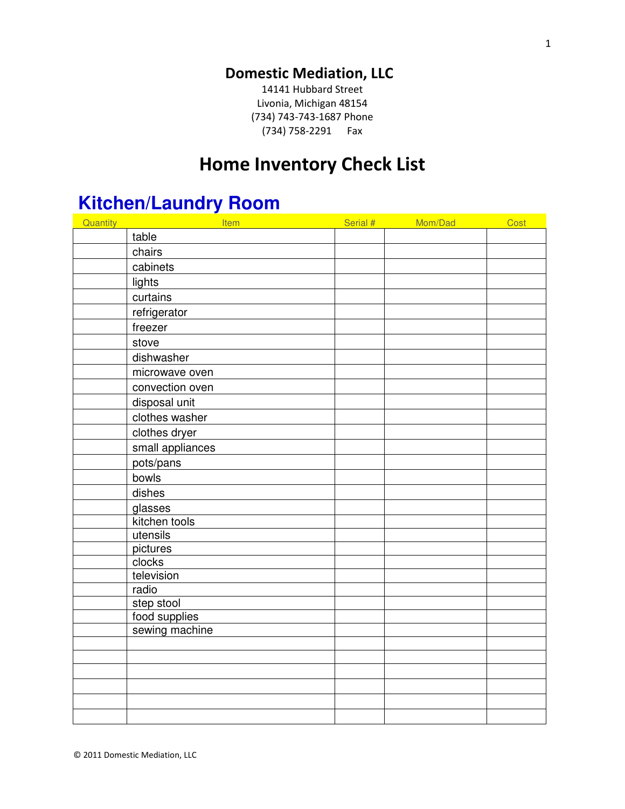#### **Domestic Mediation, LLC**

14141 Hubbard Street Livonia, Michigan 48154 (734) 743-743-1687 Phone (734) 758-2291 Fax

#### **Home Inventory Check List**

### **Kitchen/Laundry Room**

| <b>Quantity</b> | Item             | Serial # | Mom/Dad | Cost |
|-----------------|------------------|----------|---------|------|
|                 | table            |          |         |      |
|                 | chairs           |          |         |      |
|                 | cabinets         |          |         |      |
|                 | lights           |          |         |      |
|                 | curtains         |          |         |      |
|                 | refrigerator     |          |         |      |
|                 | freezer          |          |         |      |
|                 | stove            |          |         |      |
|                 | dishwasher       |          |         |      |
|                 | microwave oven   |          |         |      |
|                 | convection oven  |          |         |      |
|                 | disposal unit    |          |         |      |
|                 | clothes washer   |          |         |      |
|                 | clothes dryer    |          |         |      |
|                 | small appliances |          |         |      |
|                 | pots/pans        |          |         |      |
|                 | bowls            |          |         |      |
|                 | dishes           |          |         |      |
|                 | glasses          |          |         |      |
|                 | kitchen tools    |          |         |      |
|                 | utensils         |          |         |      |
|                 | pictures         |          |         |      |
|                 | clocks           |          |         |      |
|                 | television       |          |         |      |
|                 | radio            |          |         |      |
|                 | step stool       |          |         |      |
|                 | food supplies    |          |         |      |
|                 | sewing machine   |          |         |      |
|                 |                  |          |         |      |
|                 |                  |          |         |      |
|                 |                  |          |         |      |
|                 |                  |          |         |      |
|                 |                  |          |         |      |
|                 |                  |          |         |      |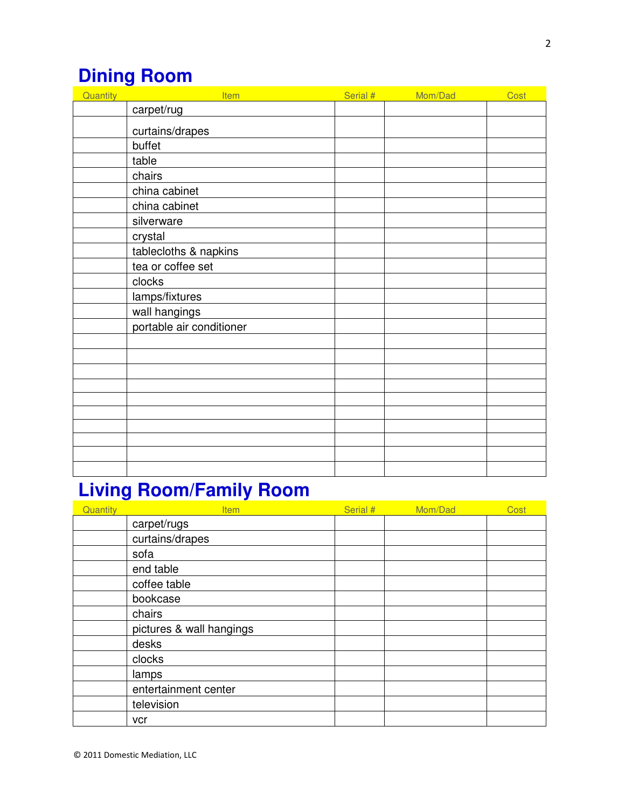## **Dining Room**

| Quantity | Item                     | Serial # | Mom/Dad | Cost |
|----------|--------------------------|----------|---------|------|
|          | carpet/rug               |          |         |      |
|          | curtains/drapes          |          |         |      |
|          | buffet                   |          |         |      |
|          | table                    |          |         |      |
|          | chairs                   |          |         |      |
|          | china cabinet            |          |         |      |
|          | china cabinet            |          |         |      |
|          | silverware               |          |         |      |
|          | crystal                  |          |         |      |
|          | tablecloths & napkins    |          |         |      |
|          | tea or coffee set        |          |         |      |
|          | clocks                   |          |         |      |
|          | lamps/fixtures           |          |         |      |
|          | wall hangings            |          |         |      |
|          | portable air conditioner |          |         |      |
|          |                          |          |         |      |
|          |                          |          |         |      |
|          |                          |          |         |      |
|          |                          |          |         |      |
|          |                          |          |         |      |
|          |                          |          |         |      |
|          |                          |          |         |      |
|          |                          |          |         |      |
|          |                          |          |         |      |
|          |                          |          |         |      |

## **Living Room/Family Room**

| Quantity | <b>Item</b>              | Serial # | Mom/Dad | Cost |
|----------|--------------------------|----------|---------|------|
|          | carpet/rugs              |          |         |      |
|          | curtains/drapes          |          |         |      |
|          | sofa                     |          |         |      |
|          | end table                |          |         |      |
|          | coffee table             |          |         |      |
|          | bookcase                 |          |         |      |
|          | chairs                   |          |         |      |
|          | pictures & wall hangings |          |         |      |
|          | desks                    |          |         |      |
|          | clocks                   |          |         |      |
|          | lamps                    |          |         |      |
|          | entertainment center     |          |         |      |
|          | television               |          |         |      |
|          | vcr                      |          |         |      |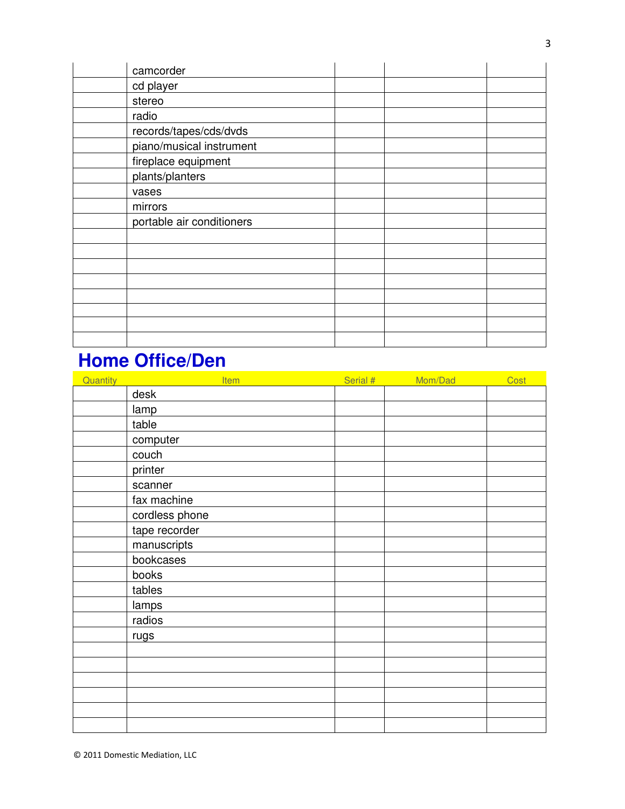| camcorder                 |  |  |
|---------------------------|--|--|
| cd player                 |  |  |
| stereo                    |  |  |
| radio                     |  |  |
| records/tapes/cds/dvds    |  |  |
| piano/musical instrument  |  |  |
| fireplace equipment       |  |  |
| plants/planters           |  |  |
| vases                     |  |  |
| mirrors                   |  |  |
| portable air conditioners |  |  |
|                           |  |  |
|                           |  |  |
|                           |  |  |
|                           |  |  |
|                           |  |  |
|                           |  |  |
|                           |  |  |
|                           |  |  |

### **Home Office/Den**

| Quantity | Item           | Serial # | Mom/Dad | Cost |
|----------|----------------|----------|---------|------|
|          | desk           |          |         |      |
|          | lamp           |          |         |      |
|          | table          |          |         |      |
|          | computer       |          |         |      |
|          | couch          |          |         |      |
|          | printer        |          |         |      |
|          | scanner        |          |         |      |
|          | fax machine    |          |         |      |
|          | cordless phone |          |         |      |
|          | tape recorder  |          |         |      |
|          | manuscripts    |          |         |      |
|          | bookcases      |          |         |      |
|          | books          |          |         |      |
|          | tables         |          |         |      |
|          | <b>lamps</b>   |          |         |      |
|          | radios         |          |         |      |
|          | rugs           |          |         |      |
|          |                |          |         |      |
|          |                |          |         |      |
|          |                |          |         |      |
|          |                |          |         |      |
|          |                |          |         |      |
|          |                |          |         |      |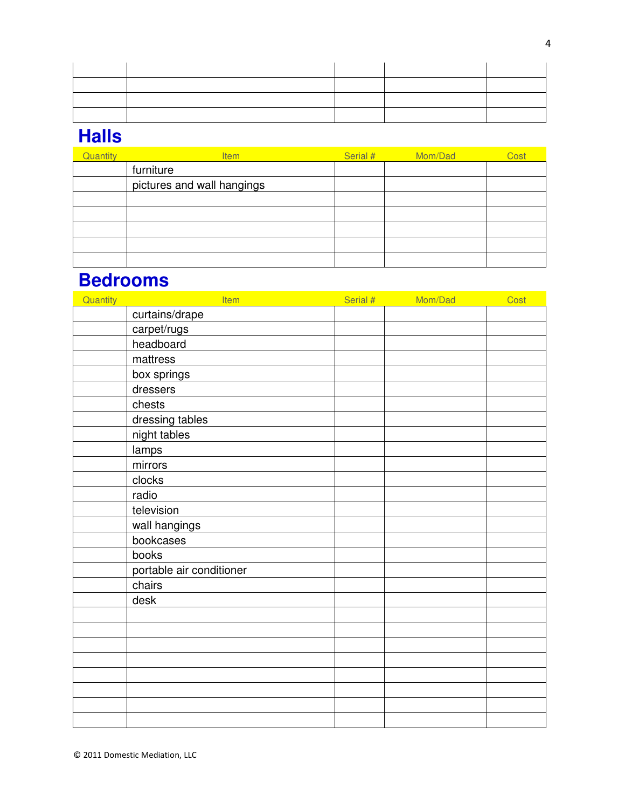#### **Halls**

| Quantity | <b>Item</b>                | Serial # | Mom/Dad | Cost |
|----------|----------------------------|----------|---------|------|
|          | furniture                  |          |         |      |
|          | pictures and wall hangings |          |         |      |
|          |                            |          |         |      |
|          |                            |          |         |      |
|          |                            |          |         |      |
|          |                            |          |         |      |
|          |                            |          |         |      |

#### **Bedrooms**

| Quantity | Item                     | Serial # Mom/Dad | Cost |
|----------|--------------------------|------------------|------|
|          | curtains/drape           |                  |      |
|          | carpet/rugs              |                  |      |
|          | headboard                |                  |      |
|          | mattress                 |                  |      |
|          | box springs              |                  |      |
|          | dressers                 |                  |      |
|          | chests                   |                  |      |
|          | dressing tables          |                  |      |
|          | night tables             |                  |      |
|          | lamps                    |                  |      |
|          | mirrors                  |                  |      |
|          | clocks                   |                  |      |
|          | radio                    |                  |      |
|          | television               |                  |      |
|          | wall hangings            |                  |      |
|          | bookcases                |                  |      |
|          | books                    |                  |      |
|          | portable air conditioner |                  |      |
|          | chairs                   |                  |      |
|          | desk                     |                  |      |
|          |                          |                  |      |
|          |                          |                  |      |
|          |                          |                  |      |
|          |                          |                  |      |
|          |                          |                  |      |
|          |                          |                  |      |
|          |                          |                  |      |
|          |                          |                  |      |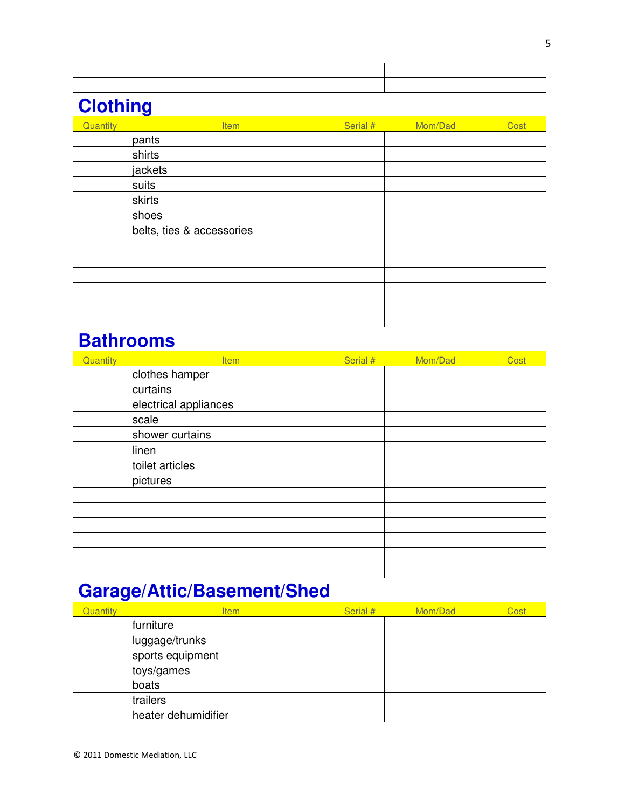### **Clothing**

| Quantity | <b>Item</b>               | Serial # | Mom/Dad | Cost |
|----------|---------------------------|----------|---------|------|
|          | pants                     |          |         |      |
|          | shirts                    |          |         |      |
|          | jackets                   |          |         |      |
|          | suits                     |          |         |      |
|          | skirts                    |          |         |      |
|          | shoes                     |          |         |      |
|          | belts, ties & accessories |          |         |      |
|          |                           |          |         |      |
|          |                           |          |         |      |
|          |                           |          |         |      |
|          |                           |          |         |      |
|          |                           |          |         |      |
|          |                           |          |         |      |

### **Bathrooms**

| Quantity | <b>Item</b>           | Serial # | Mom/Dad | Cost |
|----------|-----------------------|----------|---------|------|
|          | clothes hamper        |          |         |      |
|          | curtains              |          |         |      |
|          | electrical appliances |          |         |      |
|          | scale                 |          |         |      |
|          | shower curtains       |          |         |      |
|          | linen                 |          |         |      |
|          | toilet articles       |          |         |      |
|          | pictures              |          |         |      |
|          |                       |          |         |      |
|          |                       |          |         |      |
|          |                       |          |         |      |
|          |                       |          |         |      |
|          |                       |          |         |      |
|          |                       |          |         |      |

## **Garage/Attic/Basement/Shed**

| Quantity | <b>Item</b>         | Serial # | Mom/Dad | Cost |
|----------|---------------------|----------|---------|------|
|          | furniture           |          |         |      |
|          | luggage/trunks      |          |         |      |
|          | sports equipment    |          |         |      |
|          | toys/games          |          |         |      |
|          | boats               |          |         |      |
|          | trailers            |          |         |      |
|          | heater dehumidifier |          |         |      |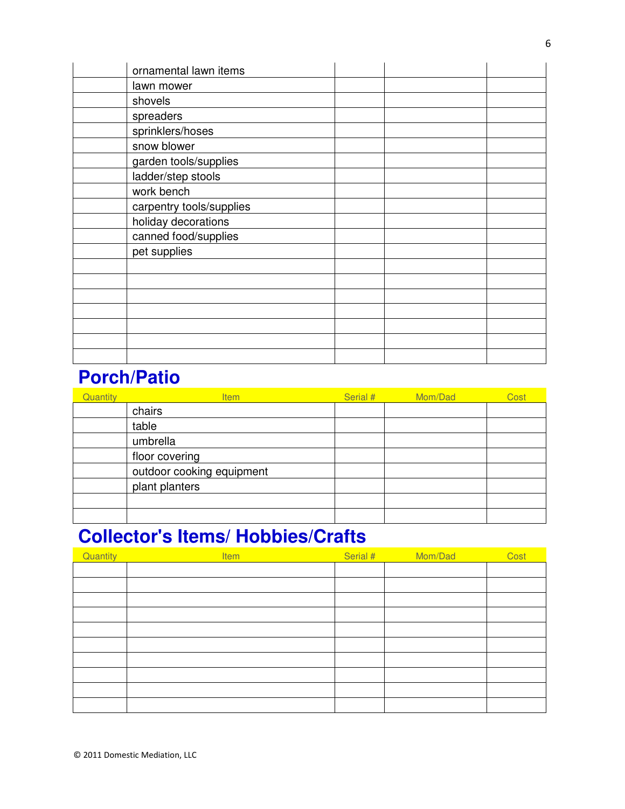| ornamental lawn items    |  |  |
|--------------------------|--|--|
| lawn mower               |  |  |
| shovels                  |  |  |
| spreaders                |  |  |
| sprinklers/hoses         |  |  |
| snow blower              |  |  |
| garden tools/supplies    |  |  |
| ladder/step stools       |  |  |
| work bench               |  |  |
| carpentry tools/supplies |  |  |
| holiday decorations      |  |  |
| canned food/supplies     |  |  |
| pet supplies             |  |  |
|                          |  |  |
|                          |  |  |
|                          |  |  |
|                          |  |  |
|                          |  |  |
|                          |  |  |
|                          |  |  |

### **Porch/Patio**

| Quantity | <b>Item</b>               | Serial # | Mom/Dad | Cost |
|----------|---------------------------|----------|---------|------|
|          | chairs                    |          |         |      |
|          | table                     |          |         |      |
|          | umbrella                  |          |         |      |
|          | floor covering            |          |         |      |
|          | outdoor cooking equipment |          |         |      |
|          | plant planters            |          |         |      |
|          |                           |          |         |      |
|          |                           |          |         |      |

### **Collector's Items/ Hobbies/Crafts**

| Quantity | <b>Item</b> | Serial # | Mom/Dad | Cost |
|----------|-------------|----------|---------|------|
|          |             |          |         |      |
|          |             |          |         |      |
|          |             |          |         |      |
|          |             |          |         |      |
|          |             |          |         |      |
|          |             |          |         |      |
|          |             |          |         |      |
|          |             |          |         |      |
|          |             |          |         |      |
|          |             |          |         |      |